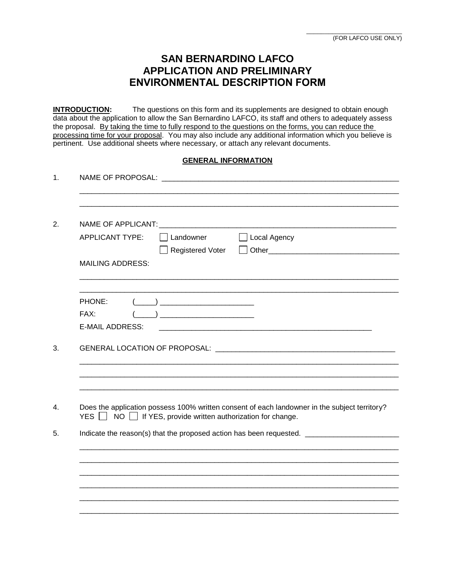## **SAN BERNARDINO LAFCO APPLICATION AND PRELIMINARY ENVIRONMENTAL DESCRIPTION FORM**

**INTRODUCTION:** The questions on this form and its supplements are designed to obtain enough data about the application to allow the San Bernardino LAFCO, its staff and others to adequately assess the proposal. By taking the time to fully respond to the questions on the forms, you can reduce the processing time for your proposal. You may also include any additional information which you believe is pertinent. Use additional sheets where necessary, or attach any relevant documents.

### **GENERAL INFORMATION**

| <b>APPLICANT TYPE:</b>  | $\Box$ Local Agency<br>Landowner                                                                                                                                                                                                                                                                                                                                    |
|-------------------------|---------------------------------------------------------------------------------------------------------------------------------------------------------------------------------------------------------------------------------------------------------------------------------------------------------------------------------------------------------------------|
|                         | Registered Voter                                                                                                                                                                                                                                                                                                                                                    |
| <b>MAILING ADDRESS:</b> |                                                                                                                                                                                                                                                                                                                                                                     |
|                         |                                                                                                                                                                                                                                                                                                                                                                     |
| PHONE:                  | $\begin{picture}(20,10) \put(0,0){\vector(1,0){100}} \put(15,0){\vector(1,0){100}} \put(15,0){\vector(1,0){100}} \put(15,0){\vector(1,0){100}} \put(15,0){\vector(1,0){100}} \put(15,0){\vector(1,0){100}} \put(15,0){\vector(1,0){100}} \put(15,0){\vector(1,0){100}} \put(15,0){\vector(1,0){100}} \put(15,0){\vector(1,0){100}} \put(15,0){\vector(1,0){100}} \$ |
| FAX:                    |                                                                                                                                                                                                                                                                                                                                                                     |
| <b>E-MAIL ADDRESS:</b>  |                                                                                                                                                                                                                                                                                                                                                                     |
|                         |                                                                                                                                                                                                                                                                                                                                                                     |
| YES $\Box$              | Does the application possess 100% written consent of each landowner in the subject territory?<br>$NO$ $\Box$ If YES, provide written authorization for change.                                                                                                                                                                                                      |
|                         | Indicate the reason(s) that the proposed action has been requested.                                                                                                                                                                                                                                                                                                 |
|                         |                                                                                                                                                                                                                                                                                                                                                                     |
|                         |                                                                                                                                                                                                                                                                                                                                                                     |
|                         |                                                                                                                                                                                                                                                                                                                                                                     |
|                         |                                                                                                                                                                                                                                                                                                                                                                     |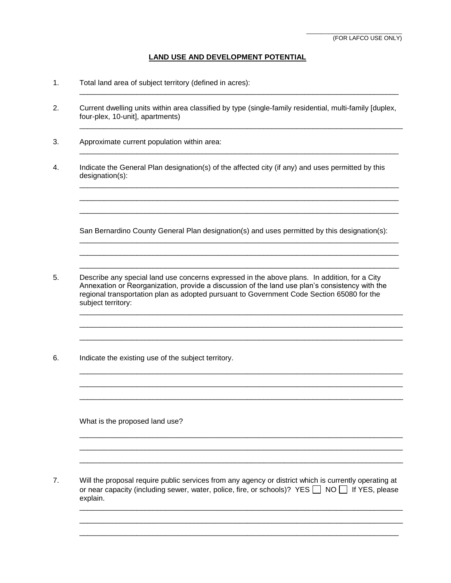#### **LAND USE AND DEVELOPMENT POTENTIAL**

\_\_\_\_\_\_\_\_\_\_\_\_\_\_\_\_\_\_\_\_\_\_\_\_\_\_\_\_\_\_\_\_\_\_\_\_\_\_\_\_\_\_\_\_\_\_\_\_\_\_\_\_\_\_\_\_\_\_\_\_\_\_\_\_\_\_\_\_\_\_\_\_\_\_\_\_\_\_

\_\_\_\_\_\_\_\_\_\_\_\_\_\_\_\_\_\_\_\_\_\_\_\_\_\_\_\_\_\_\_\_\_\_\_\_\_\_\_\_\_\_\_\_\_\_\_\_\_\_\_\_\_\_\_\_\_\_\_\_\_\_\_\_\_\_\_\_\_\_\_\_\_\_\_\_\_\_\_

\_\_\_\_\_\_\_\_\_\_\_\_\_\_\_\_\_\_\_\_\_\_\_\_\_\_\_\_\_\_\_\_\_\_\_\_\_\_\_\_\_\_\_\_\_\_\_\_\_\_\_\_\_\_\_\_\_\_\_\_\_\_\_\_\_\_\_\_\_\_\_\_\_\_\_\_\_\_

\_\_\_\_\_\_\_\_\_\_\_\_\_\_\_\_\_\_\_\_\_\_\_\_\_\_\_\_\_\_\_\_\_\_\_\_\_\_\_\_\_\_\_\_\_\_\_\_\_\_\_\_\_\_\_\_\_\_\_\_\_\_\_\_\_\_\_\_\_\_\_\_\_\_\_\_\_\_ \_\_\_\_\_\_\_\_\_\_\_\_\_\_\_\_\_\_\_\_\_\_\_\_\_\_\_\_\_\_\_\_\_\_\_\_\_\_\_\_\_\_\_\_\_\_\_\_\_\_\_\_\_\_\_\_\_\_\_\_\_\_\_\_\_\_\_\_\_\_\_\_\_\_\_\_\_\_ \_\_\_\_\_\_\_\_\_\_\_\_\_\_\_\_\_\_\_\_\_\_\_\_\_\_\_\_\_\_\_\_\_\_\_\_\_\_\_\_\_\_\_\_\_\_\_\_\_\_\_\_\_\_\_\_\_\_\_\_\_\_\_\_\_\_\_\_\_\_\_\_\_\_\_\_\_\_

- 1. Total land area of subject territory (defined in acres):
- 2. Current dwelling units within area classified by type (single-family residential, multi-family [duplex, four-plex, 10-unit], apartments)
- 3. Approximate current population within area:
- 4. Indicate the General Plan designation(s) of the affected city (if any) and uses permitted by this designation(s):

San Bernardino County General Plan designation(s) and uses permitted by this designation(s):

\_\_\_\_\_\_\_\_\_\_\_\_\_\_\_\_\_\_\_\_\_\_\_\_\_\_\_\_\_\_\_\_\_\_\_\_\_\_\_\_\_\_\_\_\_\_\_\_\_\_\_\_\_\_\_\_\_\_\_\_\_\_\_\_\_\_\_\_\_\_\_\_\_\_\_\_\_\_ \_\_\_\_\_\_\_\_\_\_\_\_\_\_\_\_\_\_\_\_\_\_\_\_\_\_\_\_\_\_\_\_\_\_\_\_\_\_\_\_\_\_\_\_\_\_\_\_\_\_\_\_\_\_\_\_\_\_\_\_\_\_\_\_\_\_\_\_\_\_\_\_\_\_\_\_\_\_ \_\_\_\_\_\_\_\_\_\_\_\_\_\_\_\_\_\_\_\_\_\_\_\_\_\_\_\_\_\_\_\_\_\_\_\_\_\_\_\_\_\_\_\_\_\_\_\_\_\_\_\_\_\_\_\_\_\_\_\_\_\_\_\_\_\_\_\_\_\_\_\_\_\_\_\_\_\_

\_\_\_\_\_\_\_\_\_\_\_\_\_\_\_\_\_\_\_\_\_\_\_\_\_\_\_\_\_\_\_\_\_\_\_\_\_\_\_\_\_\_\_\_\_\_\_\_\_\_\_\_\_\_\_\_\_\_\_\_\_\_\_\_\_\_\_\_\_\_\_\_\_\_\_\_\_\_\_ \_\_\_\_\_\_\_\_\_\_\_\_\_\_\_\_\_\_\_\_\_\_\_\_\_\_\_\_\_\_\_\_\_\_\_\_\_\_\_\_\_\_\_\_\_\_\_\_\_\_\_\_\_\_\_\_\_\_\_\_\_\_\_\_\_\_\_\_\_\_\_\_\_\_\_\_\_\_\_ \_\_\_\_\_\_\_\_\_\_\_\_\_\_\_\_\_\_\_\_\_\_\_\_\_\_\_\_\_\_\_\_\_\_\_\_\_\_\_\_\_\_\_\_\_\_\_\_\_\_\_\_\_\_\_\_\_\_\_\_\_\_\_\_\_\_\_\_\_\_\_\_\_\_\_\_\_\_\_

\_\_\_\_\_\_\_\_\_\_\_\_\_\_\_\_\_\_\_\_\_\_\_\_\_\_\_\_\_\_\_\_\_\_\_\_\_\_\_\_\_\_\_\_\_\_\_\_\_\_\_\_\_\_\_\_\_\_\_\_\_\_\_\_\_\_\_\_\_\_\_\_\_\_\_\_\_\_\_ \_\_\_\_\_\_\_\_\_\_\_\_\_\_\_\_\_\_\_\_\_\_\_\_\_\_\_\_\_\_\_\_\_\_\_\_\_\_\_\_\_\_\_\_\_\_\_\_\_\_\_\_\_\_\_\_\_\_\_\_\_\_\_\_\_\_\_\_\_\_\_\_\_\_\_\_\_\_\_ \_\_\_\_\_\_\_\_\_\_\_\_\_\_\_\_\_\_\_\_\_\_\_\_\_\_\_\_\_\_\_\_\_\_\_\_\_\_\_\_\_\_\_\_\_\_\_\_\_\_\_\_\_\_\_\_\_\_\_\_\_\_\_\_\_\_\_\_\_\_\_\_\_\_\_\_\_\_\_

\_\_\_\_\_\_\_\_\_\_\_\_\_\_\_\_\_\_\_\_\_\_\_\_\_\_\_\_\_\_\_\_\_\_\_\_\_\_\_\_\_\_\_\_\_\_\_\_\_\_\_\_\_\_\_\_\_\_\_\_\_\_\_\_\_\_\_\_\_\_\_\_\_\_\_\_\_\_\_ \_\_\_\_\_\_\_\_\_\_\_\_\_\_\_\_\_\_\_\_\_\_\_\_\_\_\_\_\_\_\_\_\_\_\_\_\_\_\_\_\_\_\_\_\_\_\_\_\_\_\_\_\_\_\_\_\_\_\_\_\_\_\_\_\_\_\_\_\_\_\_\_\_\_\_\_\_\_\_ \_\_\_\_\_\_\_\_\_\_\_\_\_\_\_\_\_\_\_\_\_\_\_\_\_\_\_\_\_\_\_\_\_\_\_\_\_\_\_\_\_\_\_\_\_\_\_\_\_\_\_\_\_\_\_\_\_\_\_\_\_\_\_\_\_\_\_\_\_\_\_\_\_\_\_\_\_\_\_

\_\_\_\_\_\_\_\_\_\_\_\_\_\_\_\_\_\_\_\_\_\_\_\_\_\_\_\_\_\_\_\_\_\_\_\_\_\_\_\_\_\_\_\_\_\_\_\_\_\_\_\_\_\_\_\_\_\_\_\_\_\_\_\_\_\_\_\_\_\_\_\_\_\_\_\_\_\_\_ \_\_\_\_\_\_\_\_\_\_\_\_\_\_\_\_\_\_\_\_\_\_\_\_\_\_\_\_\_\_\_\_\_\_\_\_\_\_\_\_\_\_\_\_\_\_\_\_\_\_\_\_\_\_\_\_\_\_\_\_\_\_\_\_\_\_\_\_\_\_\_\_\_\_\_\_\_\_\_ \_\_\_\_\_\_\_\_\_\_\_\_\_\_\_\_\_\_\_\_\_\_\_\_\_\_\_\_\_\_\_\_\_\_\_\_\_\_\_\_\_\_\_\_\_\_\_\_\_\_\_\_\_\_\_\_\_\_\_\_\_\_\_\_\_\_\_\_\_\_\_\_\_\_\_\_\_\_

- 5. Describe any special land use concerns expressed in the above plans. In addition, for a City Annexation or Reorganization, provide a discussion of the land use plan's consistency with the regional transportation plan as adopted pursuant to Government Code Section 65080 for the subject territory:
- 6. Indicate the existing use of the subject territory.

What is the proposed land use?

7. Will the proposal require public services from any agency or district which is currently operating at or near capacity (including sewer, water, police, fire, or schools)? YES  $\Box$  NO  $\Box$  If YES, please<br>oxplain explain.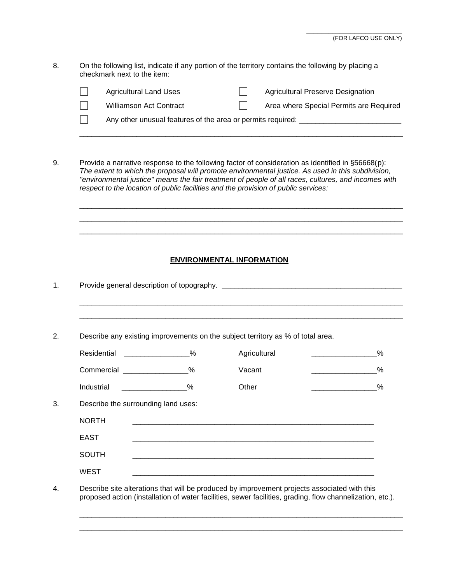8. On the following list, indicate if any portion of the territory contains the following by placing a checkmark next to the item:

| <b>Agricultural Land Uses</b>                               |  | <b>Agricultural Preserve Designation</b> |
|-------------------------------------------------------------|--|------------------------------------------|
| <b>Williamson Act Contract</b>                              |  | Area where Special Permits are Required  |
| Any other unusual features of the area or permits required: |  |                                          |

\_\_\_\_\_\_\_\_\_\_\_\_\_\_\_\_\_\_\_\_\_\_\_\_\_\_\_\_\_\_\_\_\_\_\_\_\_\_\_\_\_\_\_\_\_\_\_\_\_\_\_\_\_\_\_\_\_\_\_\_\_\_\_\_\_\_\_\_\_\_\_\_\_\_\_\_\_\_\_

\_\_\_\_\_\_\_\_\_\_\_\_\_\_\_\_\_\_\_\_\_\_\_\_\_\_\_\_\_\_\_\_\_\_\_\_\_\_\_\_\_\_\_\_\_\_\_\_\_\_\_\_\_\_\_\_\_\_\_\_\_\_\_\_\_\_\_\_\_\_\_\_\_\_\_\_\_\_\_ \_\_\_\_\_\_\_\_\_\_\_\_\_\_\_\_\_\_\_\_\_\_\_\_\_\_\_\_\_\_\_\_\_\_\_\_\_\_\_\_\_\_\_\_\_\_\_\_\_\_\_\_\_\_\_\_\_\_\_\_\_\_\_\_\_\_\_\_\_\_\_\_\_\_\_\_\_\_\_ \_\_\_\_\_\_\_\_\_\_\_\_\_\_\_\_\_\_\_\_\_\_\_\_\_\_\_\_\_\_\_\_\_\_\_\_\_\_\_\_\_\_\_\_\_\_\_\_\_\_\_\_\_\_\_\_\_\_\_\_\_\_\_\_\_\_\_\_\_\_\_\_\_\_\_\_\_\_\_

9. Provide a narrative response to the following factor of consideration as identified in §56668(p): *The extent to which the proposal will promote environmental justice. As used in this subdivision, "environmental justice" means the fair treatment of people of all races, cultures, and incomes with respect to the location of public facilities and the provision of public services:*

### **ENVIRONMENTAL INFORMATION**

| Describe any existing improvements on the subject territory as % of total area. |                             |              |                                                                                                                                                                                                                                           |  |  |
|---------------------------------------------------------------------------------|-----------------------------|--------------|-------------------------------------------------------------------------------------------------------------------------------------------------------------------------------------------------------------------------------------------|--|--|
| Residential ________________%                                                   |                             | Agricultural | $\%$<br><u> Alexandria de la conte</u>                                                                                                                                                                                                    |  |  |
| Commercial _________________%                                                   |                             | Vacant       | %<br><b>Contract Contract Contract Contract Contract Contract Contract Contract Contract Contract Contract Contract Contract Contract Contract Contract Contract Contract Contract Contract Contract Contract Contract Contract Contr</b> |  |  |
| Industrial                                                                      | $\sim$ $\sim$ $\sim$ $\sim$ | Other        | %<br><b>Contract Contract Contract Contract Contract Contract Contract Contract Contract Contract Contract Contract Contract Contract Contract Contract Contract Contract Contract Contract Contract Contract Contract Contract Contr</b> |  |  |
| Describe the surrounding land uses:                                             |                             |              |                                                                                                                                                                                                                                           |  |  |
| <b>NORTH</b>                                                                    |                             |              |                                                                                                                                                                                                                                           |  |  |
| <b>EAST</b>                                                                     |                             |              |                                                                                                                                                                                                                                           |  |  |
| <b>SOUTH</b>                                                                    |                             |              |                                                                                                                                                                                                                                           |  |  |
| <b>WEST</b>                                                                     |                             |              |                                                                                                                                                                                                                                           |  |  |

\_\_\_\_\_\_\_\_\_\_\_\_\_\_\_\_\_\_\_\_\_\_\_\_\_\_\_\_\_\_\_\_\_\_\_\_\_\_\_\_\_\_\_\_\_\_\_\_\_\_\_\_\_\_\_\_\_\_\_\_\_\_\_\_\_\_\_\_\_\_\_\_\_\_\_\_\_\_\_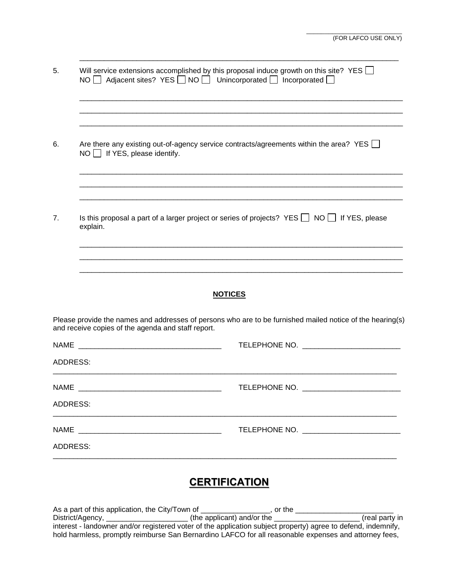| 5.              | Will service extensions accomplished by this proposal induce growth on this site? YES $\Box$<br>NO   Adjacent sites? YES   NO   Unincorporated   Incorporated |                                                                                                           |
|-----------------|---------------------------------------------------------------------------------------------------------------------------------------------------------------|-----------------------------------------------------------------------------------------------------------|
|                 |                                                                                                                                                               |                                                                                                           |
| 6.              | Are there any existing out-of-agency service contracts/agreements within the area? YES<br>$NO$ If YES, please identify.                                       |                                                                                                           |
|                 |                                                                                                                                                               |                                                                                                           |
| 7.              | Is this proposal a part of a larger project or series of projects? YES $\Box$ NO $\Box$ If YES, please<br>explain.                                            |                                                                                                           |
|                 |                                                                                                                                                               |                                                                                                           |
|                 |                                                                                                                                                               |                                                                                                           |
|                 | <b>NOTICES</b>                                                                                                                                                |                                                                                                           |
|                 | and receive copies of the agenda and staff report.                                                                                                            | Please provide the names and addresses of persons who are to be furnished mailed notice of the hearing(s) |
|                 |                                                                                                                                                               | TELEPHONE NO. <b>2000 PHOTO CONTROL</b>                                                                   |
| ADDRESS:        |                                                                                                                                                               |                                                                                                           |
|                 | NAME                                                                                                                                                          |                                                                                                           |
| ADDRESS:        |                                                                                                                                                               |                                                                                                           |
|                 |                                                                                                                                                               | TELEPHONE NO. <b>2000 PHOTO CONTROL</b>                                                                   |
| <b>ADDRESS:</b> |                                                                                                                                                               |                                                                                                           |
|                 |                                                                                                                                                               |                                                                                                           |

\_\_\_\_\_\_\_\_\_\_\_\_\_\_\_\_\_\_\_\_\_\_\_\_\_\_\_\_\_\_\_\_\_\_\_\_\_\_\_\_\_\_\_\_\_\_\_\_\_\_\_\_\_\_\_\_\_\_\_\_\_\_\_\_\_\_\_\_\_\_\_\_\_\_\_\_\_\_

# **CERTIFICATION**

As a part of this application, the City/Town of \_\_\_\_\_\_\_\_\_\_\_\_\_\_\_\_\_\_, or the \_\_ District/Agency, \_\_\_\_\_\_\_\_\_\_\_\_\_\_\_\_\_\_\_\_ (the applicant) and/or the \_\_\_\_\_\_\_\_\_\_\_\_\_\_\_\_\_\_\_\_\_ (real party in interest - landowner and/or registered voter of the application subject property) agree to defend, indemnify, hold harmless, promptly reimburse San Bernardino LAFCO for all reasonable expenses and attorney fees,